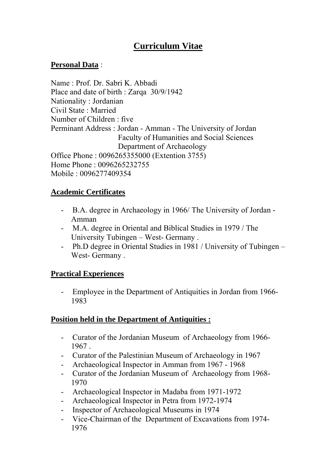# **Curriculum Vitae**

## **Personal Data** :

Name : Prof. Dr. Sabri K. Abbadi Place and date of birth : Zarqa 30/9/1942 Nationality : Jordanian Civil State : Married Number of Children : five Perminant Address : Jordan - Amman - The University of Jordan Faculty of Humanities and Social Sciences Department of Archaeology Office Phone : 0096265355000 (Extention 3755) Home Phone : 0096265232755 Mobile : 0096277409354

## **Academic Certificates**

- B.A. degree in Archaeology in 1966/ The University of Jordan Amman
- M.A. degree in Oriental and Biblical Studies in 1979 / The University Tubingen – West- Germany .
- Ph.D degree in Oriental Studies in 1981 / University of Tubingen West- Germany .

#### **Practical Experiences**

- Employee in the Department of Antiquities in Jordan from 1966- 1983

## **Position held in the Department of Antiquities :**

- Curator of the Jordanian Museum of Archaeology from 1966- 1967 .
- Curator of the Palestinian Museum of Archaeology in 1967
- Archaeological Inspector in Amman from 1967 1968
- Curator of the Jordanian Museum of Archaeology from 1968- 1970
- Archaeological Inspector in Madaba from 1971-1972
- Archaeological Inspector in Petra from 1972-1974
- Inspector of Archaeological Museums in 1974
- Vice-Chairman of the Department of Excavations from 1974- 1976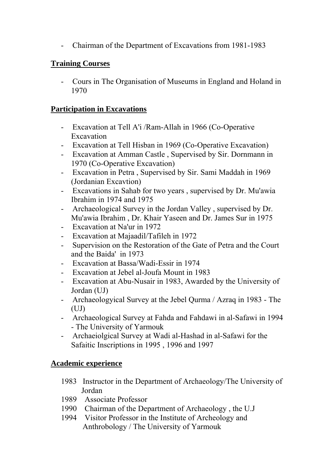- Chairman of the Department of Excavations from 1981-1983

## **Training Courses**

- Cours in The Organisation of Museums in England and Holand in 1970

### **Participation in Excavations**

- Excavation at Tell A'i /Ram-Allah in 1966 (Co-Operative **Excavation**
- Excavation at Tell Hisban in 1969 (Co-Operative Excavation)
- Excavation at Amman Castle , Supervised by Sir. Dornmann in 1970 (Co-Operative Excavation)
- Excavation in Petra , Supervised by Sir. Sami Maddah in 1969 (Jordanian Excavtion)
- Excavations in Sahab for two years , supervised by Dr. Mu'awia Ibrahim in 1974 and 1975
- Archaeological Survey in the Jordan Valley , supervised by Dr. Mu'awia Ibrahim , Dr. Khair Yaseen and Dr. James Sur in 1975
- Excavation at Na'ur in 1972
- Excavation at Majaadil/Tafileh in 1972
- Supervision on the Restoration of the Gate of Petra and the Court and the Baida' in 1973
- Excavation at Bassa/Wadi-Essir in 1974
- Excavation at Jebel al-Joufa Mount in 1983
- Excavation at Abu-Nusair in 1983, Awarded by the University of Jordan (UJ)
- Archaeologyical Survey at the Jebel Qurma / Azraq in 1983 The  $(UJ)$
- Archaeological Survey at Fahda and Fahdawi in al-Safawi in 1994 - The University of Yarmouk
- Archaeiolgical Survey at Wadi al-Hashad in al-Safawi for the Safaitic Inscriptions in 1995 , 1996 and 1997

#### **Academic experience**

- 1983 Instructor in the Department of Archaeology/The University of Jordan
- 1989 Associate Professor
- 1990 Chairman of the Department of Archaeology , the U.J
- 1994 Visitor Professor in the Institute of Archeology and Anthrobology / The University of Yarmouk